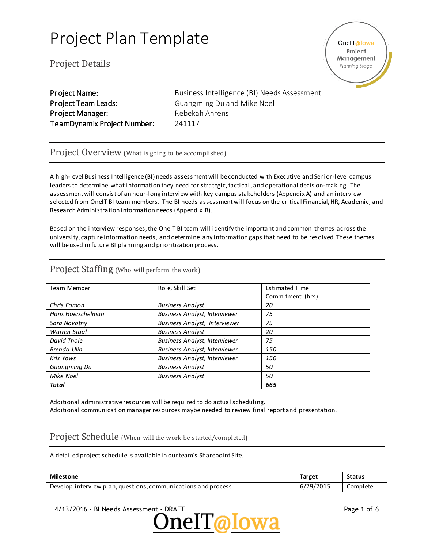### Project Details

OneIT@Iowa Project Management

Planning Stage

Project Team Leads: Guangming Du and Mike Noel Project Manager: Rebekah Ahrens TeamDynamix Project Number: 241117

Project Name: Business Intelligence (BI) Needs Assessment

#### Project Overview (What is going to be accomplished)

A high-level Business Intelligence (BI) needs assessment will be conducted with Executive and Senior-level campus leaders to determine what information they need for strategic, tactical , and operational decision-making. The assessment will consist of an hour-long interview with key campus stakeholders (Appendix A) and an interview selected from OneIT BI team members. The BI needs assessment will focus on the critical Financial, HR, Academic, and Research Administration information needs (Appendix B).

Based on the interview responses, the OneIT BI team will identify the important and common themes across the university, capture information needs, and determine any information gaps that need to be resolved. These themes will be used in future BI planning and prioritization process.

| <b>Team Member</b> | Role, Skill Set                      | <b>Estimated Time</b> |  |
|--------------------|--------------------------------------|-----------------------|--|
|                    |                                      | Commitment (hrs)      |  |
| Chris Fomon        | <b>Business Analyst</b>              | 20                    |  |
| Hans Hoerschelman  | <b>Business Analyst, Interviewer</b> | 75                    |  |
| Sara Novotny       | <b>Business Analyst, Interviewer</b> | 75                    |  |
| Warren Staal       | <b>Business Analyst</b>              | 20                    |  |
| David Thole        | <b>Business Analyst, Interviewer</b> | 75                    |  |
| Brenda Ulin        | <b>Business Analyst, Interviewer</b> | 150                   |  |
| Kris Yows          | <b>Business Analyst, Interviewer</b> | 150                   |  |
| Guangming Du       | <b>Business Analyst</b>              | 50                    |  |
| Mike Noel          | <b>Business Analyst</b>              | 50                    |  |
| Total              |                                      | 665                   |  |

### Project Staffing (Who will perform the work)

Additional administrative resources will be required to do actual scheduling. Additional communication manager resources maybe needed to review final report and presentation.

#### Project Schedule (When will the work be started/completed)

A detailed project schedule is available in our team's Sharepoint Site.

| <b>Milestone</b>                                              | <b>Target</b> | <b>Status</b> |
|---------------------------------------------------------------|---------------|---------------|
| Develop interview plan, questions, communications and process | 6/29/2015     | Complete      |

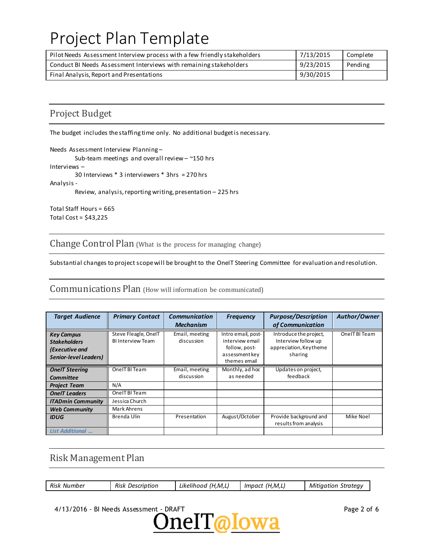| Pilot Needs Assessment Interview process with a few friendly stakeholders | 7/13/2015 | Complete |
|---------------------------------------------------------------------------|-----------|----------|
| Conduct BI Needs Assessment Interviews with remaining stakeholders        | 9/23/2015 | Pending  |
| Final Analysis, Report and Presentations                                  | 9/30/2015 |          |

# Project Budget

The budget includes the staffing time only. No additional budget is necessary.

Needs Assessment Interview Planning –

Sub-team meetings and overall review – ~150 hrs

Interviews –

30 Interviews \* 3 interviewers \* 3hrs = 270 hrs

Analysis -

Review, analysis, reporting writing, presentation – 225 hrs

Total Staff Hours = 665 Total Cost = \$43,225

Change Control Plan (What is the process for managing change)

Substantial changes to project scope will be brought to the OneIT Steering Committee for evaluation and resolution.

Communications Plan (How will information be communicated)

| <b>Target Audience</b>                                                                     | <b>Primary Contact</b>                           | <b>Communication</b><br><b>Mechanism</b> | <b>Frequency</b>                                                                         | <b>Purpose/Description</b><br>of Communication                                     | Author/Owner   |
|--------------------------------------------------------------------------------------------|--------------------------------------------------|------------------------------------------|------------------------------------------------------------------------------------------|------------------------------------------------------------------------------------|----------------|
| <b>Key Campus</b><br><b>Stakeholders</b><br>(Executive and<br><b>Senior-level Leaders)</b> | Steve Fleagle, OneIT<br><b>BI Interview Team</b> | Email, meeting<br>discussion             | Intro email, post-<br>interview email<br>follow, post-<br>assessment key<br>themes email | Introduce the project,<br>Interview follow up<br>appreciation, Keytheme<br>sharing | One IT BI Team |
| <b>OneIT Steering</b><br><b>Committee</b>                                                  | One IT BI Team                                   | Email, meeting<br>discussion             | Monthly, ad hoc<br>as needed                                                             | Updates on project,<br>feedback                                                    |                |
| <b>Project Team</b>                                                                        | N/A                                              |                                          |                                                                                          |                                                                                    |                |
| <b>OneIT</b> Leaders                                                                       | OnelT BI Team                                    |                                          |                                                                                          |                                                                                    |                |
| <b>ITADmin Community</b>                                                                   | Jessica Church                                   |                                          |                                                                                          |                                                                                    |                |
| <b>Web Community</b>                                                                       | Mark Ahrens                                      |                                          |                                                                                          |                                                                                    |                |
| <b>IDUG</b>                                                                                | Brenda Ulin                                      | Presentation                             | August/October                                                                           | Provide background and<br>results from analysis                                    | Mike Noel      |
| <b>List Additional</b>                                                                     |                                                  |                                          |                                                                                          |                                                                                    |                |

## Risk Management Plan

| Risk Number | <b>Risk Description</b> | <sup>+</sup> (H,M,L,<br>Likelihood | (H, M, L)<br>Impact | <b>Mitigation Strategy</b> |
|-------------|-------------------------|------------------------------------|---------------------|----------------------------|
|             |                         |                                    |                     |                            |

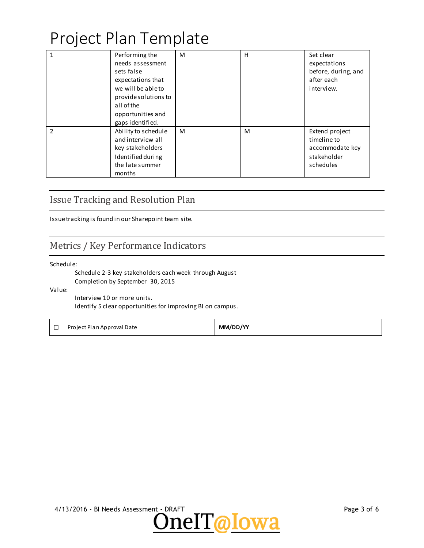| $\overline{1}$ | Performing the<br>needs assessment<br>sets false<br>expectations that<br>we will be able to<br>provide solutions to<br>all of the<br>opportunities and<br>gaps identified. | M | H | Set clear<br>expectations<br>before, during, and<br>after each<br>interview. |
|----------------|----------------------------------------------------------------------------------------------------------------------------------------------------------------------------|---|---|------------------------------------------------------------------------------|
| $\mathcal{P}$  | Ability to schedule<br>and interview all<br>key stakeholders<br>Identified during<br>the late summer<br>months                                                             | м | M | Extend project<br>timeline to<br>accommodate key<br>stakeholder<br>schedules |

## Issue Tracking and Resolution Plan

Issue tracking is found in our Sharepoint team site.

### Metrics / Key Performance Indicators

Schedule:

Schedule 2-3 key stakeholders each week through August Completion by September 30, 2015

Value:

Interview 10 or more units. Identify 5 clear opportunities for improving BI on campus.

☐ Project Plan Approval Date **MM/DD/YY**



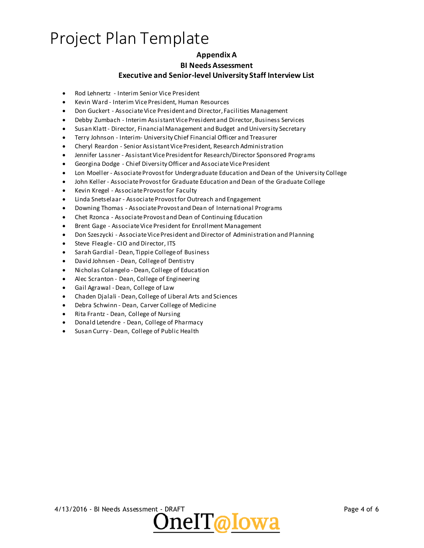### **Appendix A**

#### **BI Needs Assessment**

#### **Executive and Senior-level University Staff Interview List**

- Rod Lehnertz Interim Senior Vice President
- Kevin Ward Interim Vice President, Human Resources
- Don Guckert Associate Vice President and Director, Facilities Management
- Debby Zumbach Interim Assistant Vice President and Director, Business Services
- Susan Klatt Director, Financial Management and Budget and University Secretary
- Terry Johnson Interim- University Chief Financial Officer and Treasurer
- Cheryl Reardon Senior Assistant Vice President, Research Administration
- Jennifer Lassner Assistant Vice President for Research/Director Sponsored Programs
- Georgina Dodge Chief Diversity Officer and Associate Vice President
- Lon Moeller Associate Provost for Undergraduate Education and Dean of the University College
- John Keller Associate Provost for Graduate Education and Dean of the Graduate College
- Kevin Kregel Associate Provost for Faculty
- Linda Snetselaar Associate Provost for Outreach and Engagement
- Downing Thomas Associate Provost and Dean of International Programs
- Chet Rzonca Associate Provost and Dean of Continuing Education
- Brent Gage Associate Vice President for Enrollment Management
- Don Szeszycki Associate Vice President and Director of Administration and Planning
- Steve Fleagle CIO and Director, ITS
- Sarah Gardial Dean, Tippie College of Business
- David Johnsen Dean, College of Dentistry
- Nicholas Colangelo Dean, College of Education
- Alec Scranton Dean, College of Engineering
- Gail Agrawal Dean, College of Law
- Chaden Djalali Dean, College of Liberal Arts and Sciences
- Debra Schwinn Dean, Carver College of Medicine
- Rita Frantz Dean, College of Nursing
- Donald Letendre Dean, College of Pharmacy
- Susan Curry Dean, College of Public Health

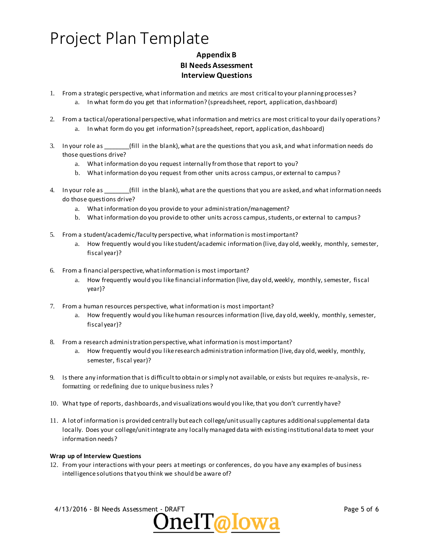### **Appendix B BI Needs Assessment Interview Questions**

- 1. From a strategic perspective, what information and metrics are most critical to your planning processes? a. In what form do you get that information? (spreadsheet, report, application, dashboard)
- 2. From a tactical/operational perspective, what information and metrics are most critical to your daily operations? a. In what form do you get information? (spreadsheet, report, application, dashboard)
- 3. In your role as \_\_\_\_\_\_\_\_(fill in the blank), what are the questions that you ask, and what information needs do those questions drive?
	- a. What information do you request internally from those that report to you?
	- b. What information do you request from other units across campus, or external to campus?
- 4. In your role as  $\qquad \qquad$  (fill in the blank), what are the questions that you are asked, and what information needs do those questions drive?
	- a. What information do you provide to your administration/management?
	- b. What information do you provide to other units across campus, students, or external to campus?
- 5. From a student/academic/faculty perspective, what information is most important?
	- a. How frequently would you like student/academic information (live, day old, weekly, monthly, semester, fiscal year)?
- 6. From a financial perspective, what information is most important?
	- a. How frequently would you like financial information (live, day old, weekly, monthly, semester, fiscal year)?
- 7. From a human resources perspective, what information is most important?
	- a. How frequently would you like human resources information (live, day old, weekly, monthly, semester, fiscal year)?
- 8. From a research administration perspective, what information is most important?
	- a. How frequently would you like research administration information (live, day old, weekly, monthly, semester, fiscal year)?
- 9. Is there any information that is difficult to obtain or simply not available, or exists but requires re-analysis, reformatting or redefining due to unique business rules ?
- 10. What type of reports, dashboards, and visualizations would you like, that you don't currently have?
- 11. A lot of information is provided centrally but each college/unit usually captures additional supplemental data locally. Does your college/unit integrate any locally managed data with existing institutional data to meet your information needs?

#### **Wrap up of Interview Questions**

12. From your interactions with your peers at meetings or conferences, do you have any examples of business intelligence solutions that you think we should be aware of?